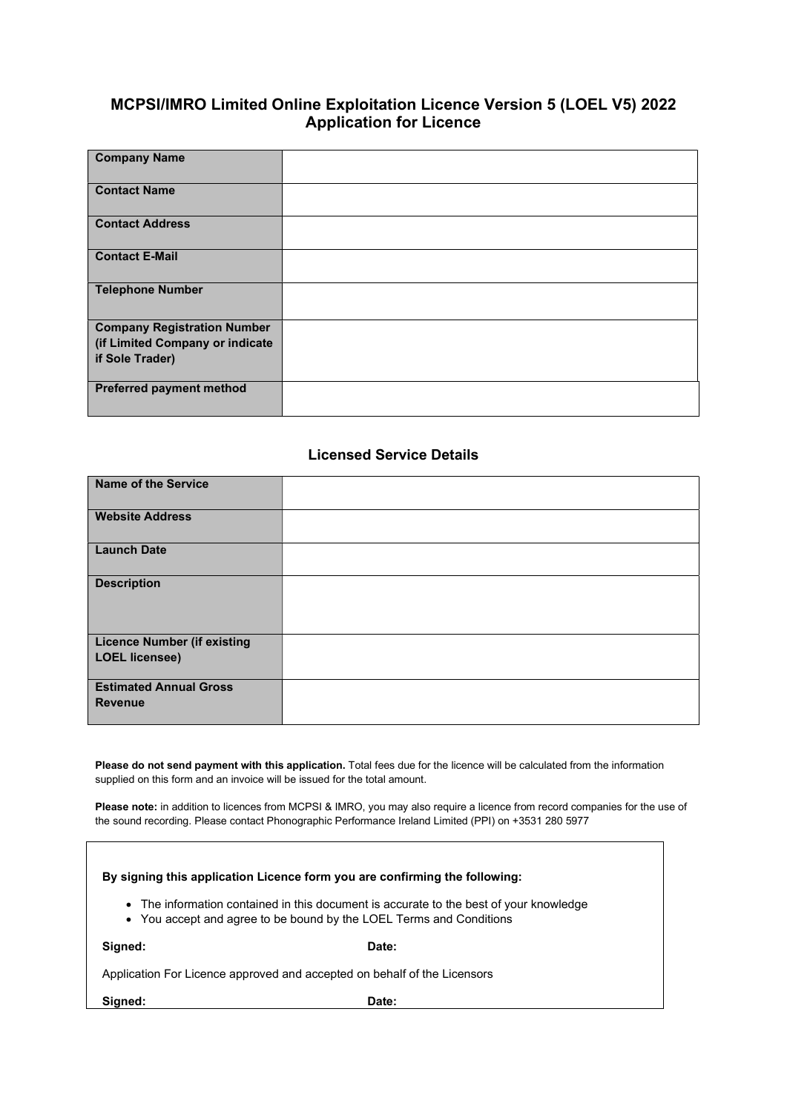# MCPSI/IMRO Limited Online Exploitation Licence Version 5 (LOEL V5) 2022 Application for Licence

| <b>Company Name</b>                                |  |
|----------------------------------------------------|--|
| <b>Contact Name</b>                                |  |
| <b>Contact Address</b>                             |  |
| <b>Contact E-Mail</b>                              |  |
| <b>Telephone Number</b>                            |  |
| <b>Company Registration Number</b>                 |  |
| (if Limited Company or indicate<br>if Sole Trader) |  |
|                                                    |  |
| <b>Preferred payment method</b>                    |  |

#### Licensed Service Details

| <b>Name of the Service</b>                                  |  |
|-------------------------------------------------------------|--|
| <b>Website Address</b>                                      |  |
| <b>Launch Date</b>                                          |  |
| <b>Description</b>                                          |  |
| <b>Licence Number (if existing</b><br><b>LOEL licensee)</b> |  |
| <b>Estimated Annual Gross</b><br><b>Revenue</b>             |  |

Please do not send payment with this application. Total fees due for the licence will be calculated from the information supplied on this form and an invoice will be issued for the total amount.

Please note: in addition to licences from MCPSI & IMRO, you may also require a licence from record companies for the use of the sound recording. Please contact Phonographic Performance Ireland Limited (PPI) on +3531 280 5977

| By signing this application Licence form you are confirming the following:                                                                                    |       |  |  |  |  |  |
|---------------------------------------------------------------------------------------------------------------------------------------------------------------|-------|--|--|--|--|--|
| • The information contained in this document is accurate to the best of your knowledge<br>• You accept and agree to be bound by the LOEL Terms and Conditions |       |  |  |  |  |  |
| Signed:                                                                                                                                                       | Date: |  |  |  |  |  |
| Application For Licence approved and accepted on behalf of the Licensors                                                                                      |       |  |  |  |  |  |
| Sianed:                                                                                                                                                       | Date: |  |  |  |  |  |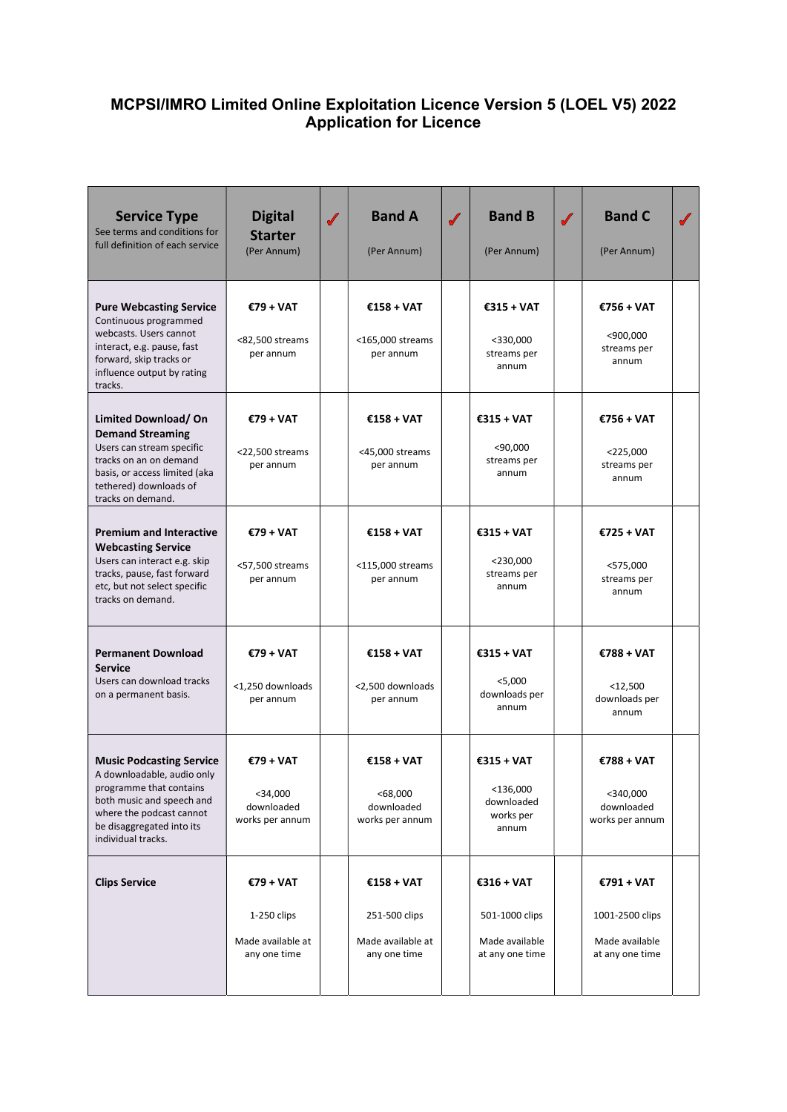# MCPSI/IMRO Limited Online Exploitation Licence Version 5 (LOEL V5) 2022 Application for Licence

| <b>Service Type</b><br>See terms and conditions for<br>full definition of each service                                                                                                               | <b>Digital</b><br><b>Starter</b><br>(Per Annum)                 | $\checkmark$ | <b>Band A</b><br>(Per Annum)                                     | $\checkmark$ | <b>Band B</b><br>(Per Annum)                                        | $\sqrt{}$ | <b>Band C</b><br>(Per Annum)                                       | $\sqrt{\frac{1}{2}}$ |
|------------------------------------------------------------------------------------------------------------------------------------------------------------------------------------------------------|-----------------------------------------------------------------|--------------|------------------------------------------------------------------|--------------|---------------------------------------------------------------------|-----------|--------------------------------------------------------------------|----------------------|
| <b>Pure Webcasting Service</b><br>Continuous programmed<br>webcasts. Users cannot<br>interact, e.g. pause, fast<br>forward, skip tracks or<br>influence output by rating<br>tracks.                  | €79 + VAT<br><82,500 streams<br>per annum                       |              | $£158 + VAT$<br><165,000 streams<br>per annum                    |              | €315 + VAT<br>$<$ 330,000<br>streams per<br>annum                   |           | €756 + VAT<br>$<$ 900,000<br>streams per<br>annum                  |                      |
| <b>Limited Download/ On</b><br><b>Demand Streaming</b><br>Users can stream specific<br>tracks on an on demand<br>basis, or access limited (aka<br>tethered) downloads of<br>tracks on demand.        | €79 + VAT<br><22,500 streams<br>per annum                       |              | $£158 + VAT$<br><45,000 streams<br>per annum                     |              | €315 + VAT<br>$<$ 90,000<br>streams per<br>annum                    |           | €756 + VAT<br>$<$ 225,000<br>streams per<br>annum                  |                      |
| <b>Premium and Interactive</b><br><b>Webcasting Service</b><br>Users can interact e.g. skip<br>tracks, pause, fast forward<br>etc, but not select specific<br>tracks on demand.                      | €79 + VAT<br><57,500 streams<br>per annum                       |              | €158 + VAT<br><115,000 streams<br>per annum                      |              | €315 + VAT<br>$<$ 230,000<br>streams per<br>annum                   |           | €725 + VAT<br>$<$ 575,000<br>streams per<br>annum                  |                      |
| <b>Permanent Download</b><br><b>Service</b><br>Users can download tracks<br>on a permanent basis.                                                                                                    | €79 + VAT<br><1,250 downloads<br>per annum                      |              | €158 + VAT<br><2,500 downloads<br>per annum                      |              | €315 + VAT<br>$<$ 5,000<br>downloads per<br>annum                   |           | €788 + VAT<br>$<$ 12,500<br>downloads per<br>annum                 |                      |
| <b>Music Podcasting Service</b><br>A downloadable, audio only<br>programme that contains<br>both music and speech and<br>where the podcast cannot<br>be disaggregated into its<br>individual tracks. | €79 + VAT<br>$<$ 34,000<br>downloaded<br>works per annum        |              | €158 + VAT<br><68,000<br>downloaded<br>works per annum           |              | $£315 + VAT$<br>$<$ 136,000<br>downloaded<br>works per<br>annum     |           | €788 + VAT<br>$<$ 340,000<br>downloaded<br>works per annum         |                      |
| <b>Clips Service</b>                                                                                                                                                                                 | €79 + VAT<br>$1-250$ clips<br>Made available at<br>any one time |              | €158 + VAT<br>251-500 clips<br>Made available at<br>any one time |              | $£316 + VAT$<br>501-1000 clips<br>Made available<br>at any one time |           | €791 + VAT<br>1001-2500 clips<br>Made available<br>at any one time |                      |